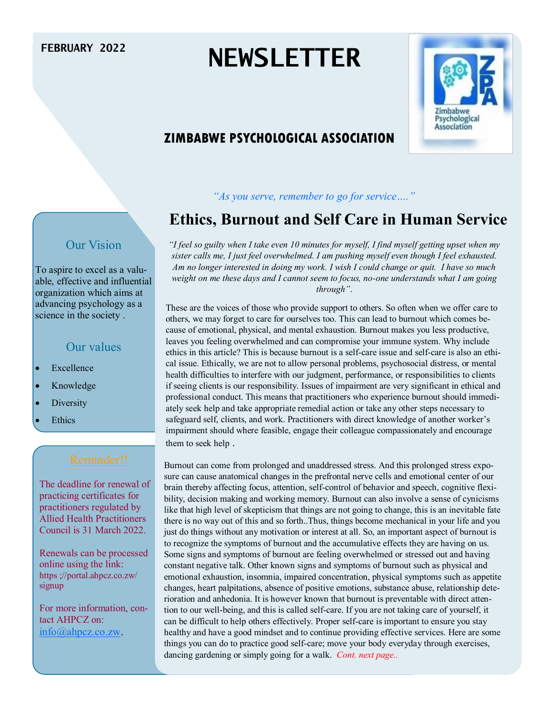# **FEBRUARY 2022 NEWSLETTER**



# **ZIMBABWE PSYCHOLOGICAL ASSOCIATION**

*"As you serve, remember to go for service…."*

# **Ethics, Burnout and Self Care in Human Service**

#### Our Vision

To aspire to excel as a valuable, effective and influential organization which aims at advancing psychology as a science in the society .

#### Our values

- Excellence
- Knowledge
- **Diversity**
- **Ethics**

The deadline for renewal of practicing certificates for practitioners regulated by Allied Health Practitioners Council is 31 March 2022.

Renewals can be processed online using the link: https ;//portal.ahpcz.co.zw/ signup

For more information, contact AHPCZ on: [info@ahpcz.co.zw.](mailto:info@ahpcz.co.zw)

*"I feel so guilty when I take even 10 minutes for myself, I find myself getting upset when my sister calls me, I just feel overwhelmed. I am pushing myself even though I feel exhausted. Am no longer interested in doing my work. I wish I could change or quit. I have so much weight on me these days and I cannot seem to focus, no-one understands what I am going through"*.

These are the voices of those who provide support to others. So often when we offer care to others, we may forget to care for ourselves too. This can lead to burnout which comes because of emotional, physical, and mental exhaustion. Burnout makes you less productive, leaves you feeling overwhelmed and can compromise your immune system. Why include ethics in this article? This is because burnout is a self-care issue and self-care is also an ethical issue. Ethically, we are not to allow personal problems, psychosocial distress, or mental health difficulties to interfere with our judgment, performance, or responsibilities to clients if seeing clients is our responsibility. Issues of impairment are very significant in ethical and professional conduct. This means that practitioners who experience burnout should immediately seek help and take appropriate remedial action or take any other steps necessary to safeguard self, clients, and work. Practitioners with direct knowledge of another worker's impairment should where feasible, engage their colleague compassionately and encourage them to seek help .

Burnout can come from prolonged and unaddressed stress. And this prolonged stress exposure can cause anatomical changes in the prefrontal nerve cells and emotional center of our brain thereby affecting focus, attention, self-control of behavior and speech, cognitive flexibility, decision making and working memory. Burnout can also involve a sense of cynicisms like that high level of skepticism that things are not going to change, this is an inevitable fate there is no way out of this and so forth..Thus, things become mechanical in your life and you just do things without any motivation or interest at all. So, an important aspect of burnout is to recognize the symptoms of burnout and the accumulative effects they are having on us. Some signs and symptoms of burnout are feeling overwhelmed or stressed out and having constant negative talk. Other known signs and symptoms of burnout such as physical and emotional exhaustion, insomnia, impaired concentration, physical symptoms such as appetite changes, heart palpitations, absence of positive emotions, substance abuse, relationship deterioration and anhedonia. It is however known that burnout is preventable with direct attention to our well-being, and this is called self-care. If you are not taking care of yourself, it can be difficult to help others effectively. Proper self-care is important to ensure you stay healthy and have a good mindset and to continue providing effective services. Here are some things you can do to practice good self-care; move your body everyday through exercises, dancing gardening or simply going for a walk. *Cont. next page..*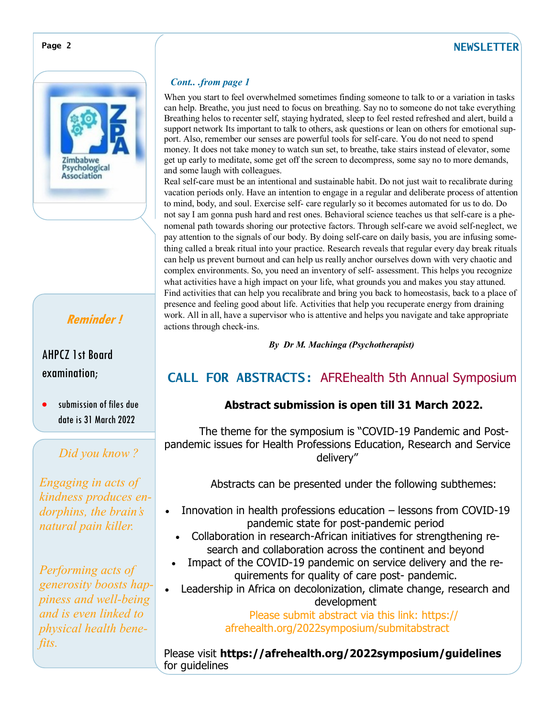#### **Page 2 NEWSLETTER**





# **Reminder !**

### AHPCZ 1st Board examination;

 submission of files due date is 31 March 2022

# *Did you know ?*

*Engaging in acts of kindness produces endorphins, the brain's natural pain killer.*

*Performing acts of generosity boosts happiness and well-being and is even linked to physical health benefits.*

#### *Cont.. .from page 1*

When you start to feel overwhelmed sometimes finding someone to talk to or a variation in tasks can help. Breathe, you just need to focus on breathing. Say no to someone do not take everything Breathing helos to recenter self, staying hydrated, sleep to feel rested refreshed and alert, build a support network Its important to talk to others, ask questions or lean on others for emotional support. Also, remember our senses are powerful tools for self-care. You do not need to spend money. It does not take money to watch sun set, to breathe, take stairs instead of elevator, some get up early to meditate, some get off the screen to decompress, some say no to more demands, and some laugh with colleagues.

Real self-care must be an intentional and sustainable habit. Do not just wait to recalibrate during vacation periods only. Have an intention to engage in a regular and deliberate process of attention to mind, body, and soul. Exercise self- care regularly so it becomes automated for us to do. Do not say I am gonna push hard and rest ones. Behavioral science teaches us that self-care is a phenomenal path towards shoring our protective factors. Through self-care we avoid self-neglect, we pay attention to the signals of our body. By doing self-care on daily basis, you are infusing something called a break ritual into your practice. Research reveals that regular every day break rituals can help us prevent burnout and can help us really anchor ourselves down with very chaotic and complex environments. So, you need an inventory of self- assessment. This helps you recognize what activities have a high impact on your life, what grounds you and makes you stay attuned. Find activities that can help you recalibrate and bring you back to homeostasis, back to a place of presence and feeling good about life. Activities that help you recuperate energy from draining work. All in all, have a supervisor who is attentive and helps you navigate and take appropriate actions through check-ins.

*By Dr M. Machinga (Psychotherapist)*

# **CALL FOR ABSTRACTS:** AFREhealth 5th Annual Symposium

#### **Abstract submission is open till 31 March 2022.**

The theme for the symposium is "COVID-19 Pandemic and Postpandemic issues for Health Professions Education, Research and Service delivery"

Abstracts can be presented under the following subthemes:

- Innovation in health professions education lessons from COVID-19 pandemic state for post-pandemic period
	- Collaboration in research-African initiatives for strengthening research and collaboration across the continent and beyond
- Impact of the COVID-19 pandemic on service delivery and the requirements for quality of care post- pandemic.
- Leadership in Africa on decolonization, climate change, research and development

Please submit abstract via this link: https:// afrehealth.org/2022symposium/submitabstract

Please visit **https://afrehealth.org/2022symposium/guidelines**  for guidelines